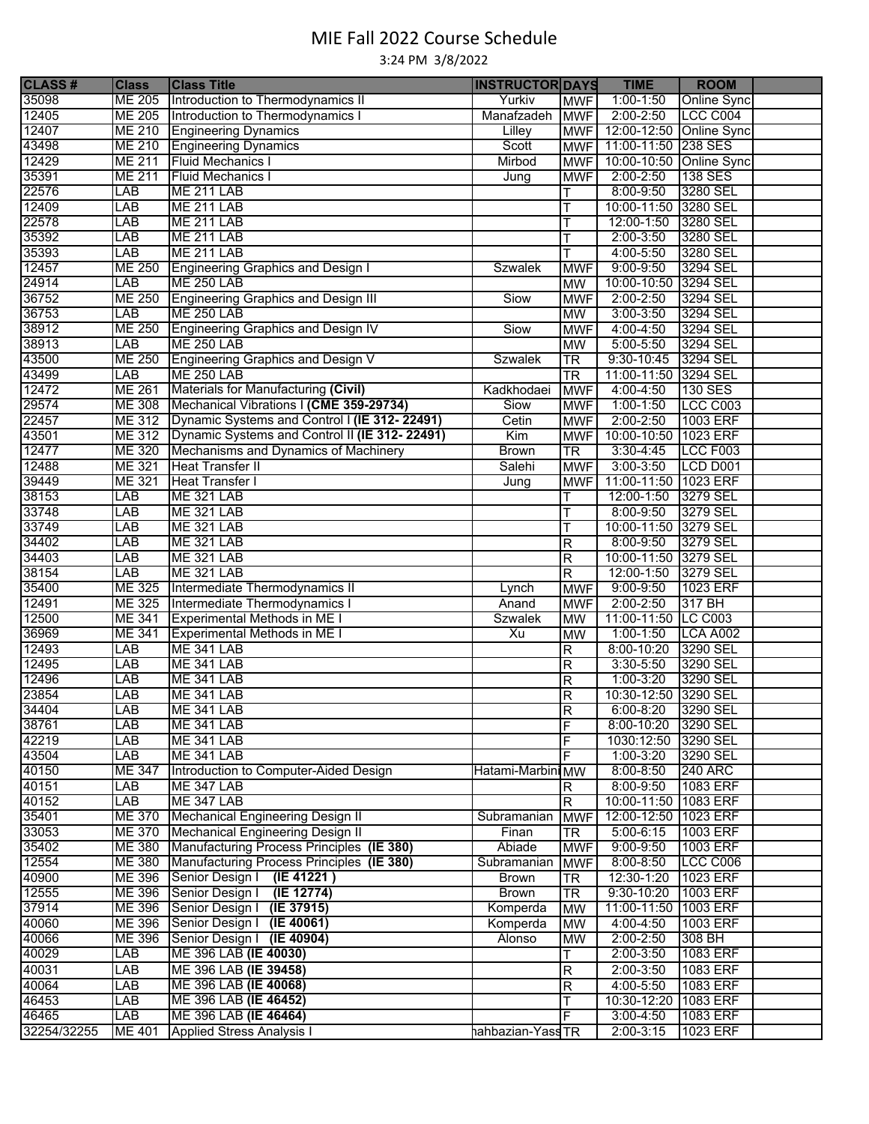## MIE Fall 2022 Course Schedule

3:24 PM 3/8/2022

| <b>CLASS#</b> | <b>Class</b>  | <b>Class Title</b>                             | <b>INSTRUCTOR DAYS</b> |                         | <b>TIME</b>             | <b>ROOM</b>        |  |
|---------------|---------------|------------------------------------------------|------------------------|-------------------------|-------------------------|--------------------|--|
| 35098         | <b>ME 205</b> | Introduction to Thermodynamics II              | Yurkiv                 | <b>MWF</b>              | $1:00 - 1:50$           | <b>Online Sync</b> |  |
| 12405         | <b>ME 205</b> | Introduction to Thermodynamics I               | Manafzadeh MWF         |                         | $2:00 - 2:50$           | LCC C004           |  |
| 12407         | ME 210        | <b>Engineering Dynamics</b>                    | Lilley                 | <b>MWF</b>              | 12:00-12:50 Online Sync |                    |  |
| 43498         | <b>ME 210</b> | <b>Engineering Dynamics</b>                    | Scott                  | <b>MWF</b>              | 11:00-11:50 238 SES     |                    |  |
| 12429         | ME 211        | <b>Fluid Mechanics I</b>                       | Mirbod                 | <b>MWF</b>              | 10:00-10:50 Online Sync |                    |  |
| 35391         | <b>ME 211</b> | <b>Fluid Mechanics I</b>                       | Jung                   | <b>MWF</b>              | $2:00 - 2:50$           | 138 SES            |  |
| 22576         | LAB           | <b>ME 211 LAB</b>                              |                        |                         | 8:00-9:50               | 3280 SEL           |  |
| 12409         | LAB           | <b>ME 211 LAB</b>                              |                        |                         | 10:00-11:50 3280 SEL    |                    |  |
| 22578         | LAB           | <b>ME 211 LAB</b>                              |                        | Т                       | 12:00-1:50              | 3280 SEL           |  |
| 35392         | LAB           | <b>ME 211 LAB</b>                              |                        |                         | $2:00 - 3:50$           | 3280 SEL           |  |
| 35393         | LAB           | <b>ME 211 LAB</b>                              |                        |                         | 4:00-5:50               | 3280 SEL           |  |
| 12457         | <b>ME 250</b> | Engineering Graphics and Design I              | <b>Szwalek</b>         | <b>MWF</b>              | $9:00 - 9:50$           | 3294 SEL           |  |
| 24914         | LAB           | <b>ME 250 LAB</b>                              |                        | MW                      | 10:00-10:50 3294 SEL    |                    |  |
| 36752         | <b>ME 250</b> | Engineering Graphics and Design III            | Siow                   | <b>MWF</b>              | $2:00 - 2:50$           | 3294 SEL           |  |
| 36753         | LAB           | <b>ME 250 LAB</b>                              |                        | <b>MW</b>               | $3:00 - 3:50$           | 3294 SEL           |  |
| 38912         | <b>ME 250</b> | <b>Engineering Graphics and Design IV</b>      | Siow                   | <b>MWF</b>              | $4:00 - 4:50$           | 3294 SEL           |  |
| 38913         | LAB           | <b>ME 250 LAB</b>                              |                        | <b>MW</b>               | $5:00 - 5:50$           | 3294 SEL           |  |
| 43500         | <b>ME 250</b> | Engineering Graphics and Design V              | <b>Szwalek</b>         | TR                      | $9:30 - 10:45$          | 3294 SEL           |  |
| 43499         | LAB           | <b>ME 250 LAB</b>                              |                        | $\overline{\text{TR}}$  | 11:00-11:50 3294 SEL    |                    |  |
| 12472         | <b>ME 261</b> | Materials for Manufacturing (Civil)            | Kadkhodaei             | <b>MWF</b>              | $4:00 - 4:50$           | 130 SES            |  |
| 29574         | <b>ME 308</b> | Mechanical Vibrations I (CME 359-29734)        | Siow                   | <b>MWF</b>              | $1:00 - 1:50$           | <b>LCC C003</b>    |  |
| 22457         | ME 312        | Dynamic Systems and Control I (IE 312-22491)   | Cetin                  | <b>MWF</b>              | $2:00 - 2:50$           | 1003 ERF           |  |
| 43501         | ME 312        | Dynamic Systems and Control II (IE 312- 22491) | Kim                    | <b>MWF</b>              | 10:00-10:50 1023 ERF    |                    |  |
| 12477         | ME 320        | Mechanisms and Dynamics of Machinery           | <b>Brown</b>           | $\overline{\text{TR}}$  | $3:30-4:45$             | <b>LCC F003</b>    |  |
| 12488         | ME 321        | <b>Heat Transfer II</b>                        | Salehi                 | <b>MWF</b>              | $3:00 - 3:50$           | LCD D001           |  |
| 39449         | ME 321        | <b>Heat Transfer I</b>                         | Jung                   | <b>MWF</b>              | 11:00-11:50 1023 ERF    |                    |  |
| 38153         | LAB           | <b>ME 321 LAB</b>                              |                        |                         | 12:00-1:50              | 3279 SEL           |  |
| 33748         | LAB           | <b>ME 321 LAB</b>                              |                        |                         | 8:00-9:50               | 3279 SEL           |  |
| 33749         | LAB           | <b>ME 321 LAB</b>                              |                        | т                       | 10:00-11:50 3279 SEL    |                    |  |
| 34402         | LAB           | <b>ME 321 LAB</b>                              |                        | R                       | 8:00-9:50               | 3279 SEL           |  |
| 34403         | LAB           | <b>ME 321 LAB</b>                              |                        | R                       | 10:00-11:50 3279 SEL    |                    |  |
| 38154         | LAB           | <b>ME 321 LAB</b>                              |                        | $\mathsf R$             | $12:00 - 1:50$          | 3279 SEL           |  |
| 35400         | ME 325        | Intermediate Thermodynamics II                 | Lynch                  | <b>MWF</b>              | $9:00 - 9:50$           | 1023 ERF           |  |
| 12491         | <b>ME 325</b> | Intermediate Thermodynamics I                  | Anand                  | <b>MWF</b>              | $2:00 - 2:50$           | 317 BH             |  |
| 12500         | <b>ME 341</b> | Experimental Methods in ME I                   | <b>Szwalek</b>         | <b>MW</b>               | 11:00-11:50 LC C003     |                    |  |
| 36969         | <b>ME 341</b> | Experimental Methods in ME I                   | Xu                     | <b>MW</b>               | $1:00-1:50$             | <b>LCA A002</b>    |  |
| 12493         | LAB           | <b>ME 341 LAB</b>                              |                        | R                       | 8:00-10:20              | 3290 SEL           |  |
| 12495         | LAB           | <b>ME 341 LAB</b>                              |                        | R                       | $3:30 - 5:50$           | 3290 SEL           |  |
| 12496         | LAB           | <b>ME 341 LAB</b>                              |                        | R                       | $1:00 - 3:20$           | 3290 SEL           |  |
| 23854         | LAB           | <b>ME 341 LAB</b>                              |                        | $\mathsf R$             | 10:30-12:50 3290 SEL    |                    |  |
| 34404         | LAB           | <b>ME 341 LAB</b>                              |                        | $\overline{\mathsf{R}}$ | $6:00 - 8:20$           | 3290 SEL           |  |
| 38761         | LAB           | <b>ME 341 LAB</b>                              |                        | F                       | 8:00-10:20              | 3290 SEL           |  |
| 42219         | LAB           | <b>ME 341 LAB</b>                              |                        | F                       | 1030:12:50              | 3290 SEL           |  |
| 43504         | LAB           | <b>ME 341 LAB</b>                              |                        | F                       | $1:00 - 3:20$           | 3290 SEL           |  |
| 40150         | ME 347        | Introduction to Computer-Aided Design          | Hatami-Marbini MW      |                         | $8:00 - 8:50$           | <b>240 ARC</b>     |  |
| 40151         | LAB           | <b>ME 347 LAB</b>                              |                        | R                       | 8:00-9:50               | 1083 ERF           |  |
| 40152         | LAB           | <b>ME 347 LAB</b>                              |                        | $\overline{R}$          | 10:00-11:50 1083 ERF    |                    |  |
| 35401         | <b>ME 370</b> | <b>Mechanical Engineering Design II</b>        | Subramanian            | <b>MWF</b>              | 12:00-12:50 1023 ERF    |                    |  |
| 33053         | <b>ME 370</b> | <b>Mechanical Engineering Design II</b>        | Finan                  | TR                      | $5:00 - 6:15$           | 1003 ERF           |  |
| 35402         | <b>ME 380</b> | Manufacturing Process Principles (IE 380)      | Abiade                 | <b>MWF</b>              | $9:00 - 9:50$           | 1003 ERF           |  |
| 12554         | <b>ME 380</b> | Manufacturing Process Principles (IE 380)      | Subramanian            | <b>MWF</b>              | $8:00 - 8:50$           | <b>LCC C006</b>    |  |
| 40900         | <b>ME 396</b> | Senior Design   (IE 41221)                     | <b>Brown</b>           | <b>TR</b>               | 12:30-1:20              | 1023 ERF           |  |
| 12555         | ME 396        | Senior Design   (IE 12774)                     | <b>Brown</b>           | $\overline{\text{TR}}$  | 9:30-10:20              | 1003 ERF           |  |
| 37914         | ME 396        | Senior Design   (IE 37915)                     | Komperda               | <b>MW</b>               | 11:00-11:50 1003 ERF    |                    |  |
| 40060         | ME 396        | Senior Design   (IE 40061)                     | Komperda               | <b>MW</b>               | 4:00-4:50               | 1003 ERF           |  |
| 40066         | ME 396        | Senior Design   (IE 40904)                     | Alonso                 | MW                      | $2:00 - 2:50$           | 308 BH             |  |
| 40029         | LAB           | ME 396 LAB (IE 40030)                          |                        | т                       | $2:00 - 3:50$           | 1083 ERF           |  |
| 40031         | LAB           | ME 396 LAB (IE 39458)                          |                        | $\overline{R}$          | $2:00 - 3:50$           | 1083 ERF           |  |
| 40064         | LAB           | ME 396 LAB (IE 40068)                          |                        | R                       | $4:00 - 5:50$           | 1083 ERF           |  |
| 46453         | <b>LAB</b>    | ME 396 LAB (IE 46452)                          |                        | т                       | 10:30-12:20             | 1083 ERF           |  |
| 46465         | <b>LAB</b>    | ME 396 LAB (IE 46464)                          |                        | F                       | $3:00 - 4:50$           | 1083 ERF           |  |
| 32254/32255   | <b>ME 401</b> | <b>Applied Stress Analysis I</b>               | hahbazian-YassTR       |                         | $2:00 - 3:15$           | 1023 ERF           |  |
|               |               |                                                |                        |                         |                         |                    |  |